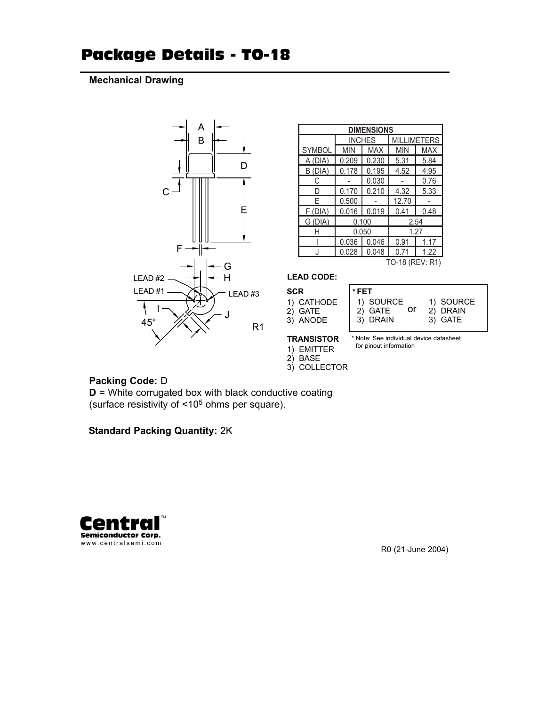## Package Details - TO-18

#### **Mechanical Drawing**



| <b>DIMENSIONS</b> |       |               |                    |            |  |  |
|-------------------|-------|---------------|--------------------|------------|--|--|
|                   |       | <b>INCHES</b> | <b>MILLIMETERS</b> |            |  |  |
| <b>SYMBOL</b>     | MIN   | <b>MAX</b>    | <b>MIN</b>         | <b>MAX</b> |  |  |
| A (DIA)           | 0.209 | 0.230         | 5.31               | 5.84       |  |  |
| (DIA)<br>B.       | 0.178 | 0.195         | 4.52               | 4.95       |  |  |
| C                 |       | 0.030         |                    | 0.76       |  |  |
| n                 | 0.170 | 0.210         | 4.32               | 5.33       |  |  |
| F                 | 0.500 |               | 12.70              |            |  |  |
| F (DIA)           | 0.016 | 0.019         | 0.41               | 0.48       |  |  |
| G (DIA)           | 0.100 |               | 2.54               |            |  |  |
| Н                 |       | 0.050         | 1.27               |            |  |  |
|                   | 0.036 | 0.046         | 0.91               | 1 17       |  |  |
|                   | 0.028 | 0.048         | 0.71               | 1.22       |  |  |
| TO-18 (REV: R1)   |       |               |                    |            |  |  |

#### **LEAD CODE:**

| SCR |            |
|-----|------------|
|     | 1) CATHODE |
|     | 2) GATE    |
|     | 3) ANODE   |

| 1) SOURCE |
|-----------|
|           |
|           |
|           |

#### **TRANSISTOR**

\* Note: See individual device datasheet for pinout information

- 1) EMITTER
- 2) BASE
- 3) COLLECTOR

### **Packing Code:** D

**D** = White corrugated box with black conductive coating (surface resistivity of <105 ohms per square).

**Standard Packing Quantity:** 2K



R0 (21-June 2004)